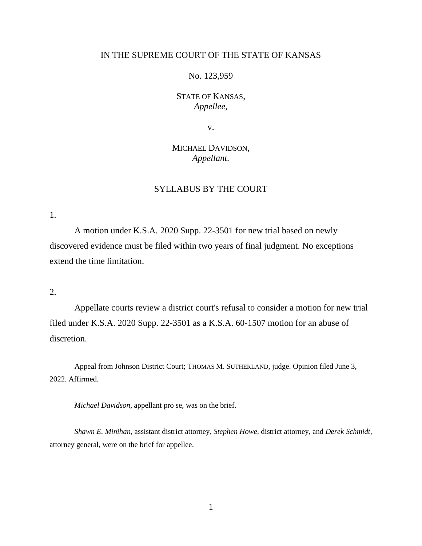## IN THE SUPREME COURT OF THE STATE OF KANSAS

No. 123,959

STATE OF KANSAS, *Appellee*,

v.

MICHAEL DAVIDSON, *Appellant*.

# SYLLABUS BY THE COURT

1.

A motion under K.S.A. 2020 Supp. 22-3501 for new trial based on newly discovered evidence must be filed within two years of final judgment. No exceptions extend the time limitation.

2.

Appellate courts review a district court's refusal to consider a motion for new trial filed under K.S.A. 2020 Supp. 22-3501 as a K.S.A. 60-1507 motion for an abuse of discretion.

Appeal from Johnson District Court; THOMAS M. SUTHERLAND, judge. Opinion filed June 3, 2022. Affirmed.

*Michael Davidson*, appellant pro se, was on the brief.

*Shawn E. Minihan,* assistant district attorney*, Stephen Howe,* district attorney*,* and *Derek Schmidt,*  attorney general, were on the brief for appellee.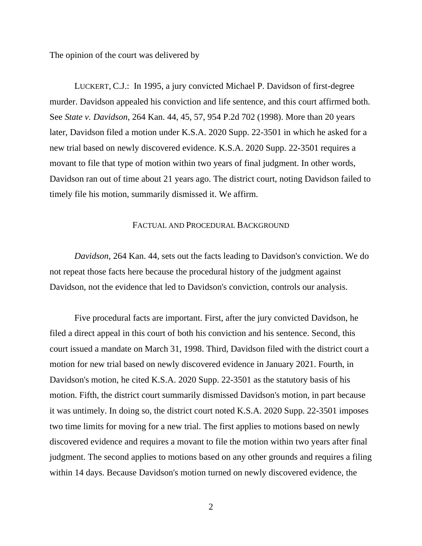The opinion of the court was delivered by

LUCKERT, C.J.: In 1995, a jury convicted Michael P. Davidson of first-degree murder. Davidson appealed his conviction and life sentence, and this court affirmed both. See *State v. Davidson*, 264 Kan. 44, 45, 57, 954 P.2d 702 (1998). More than 20 years later, Davidson filed a motion under K.S.A. 2020 Supp. 22-3501 in which he asked for a new trial based on newly discovered evidence. K.S.A. 2020 Supp. 22-3501 requires a movant to file that type of motion within two years of final judgment. In other words, Davidson ran out of time about 21 years ago. The district court, noting Davidson failed to timely file his motion, summarily dismissed it. We affirm.

## FACTUAL AND PROCEDURAL BACKGROUND

*Davidson*, 264 Kan. 44, sets out the facts leading to Davidson's conviction. We do not repeat those facts here because the procedural history of the judgment against Davidson, not the evidence that led to Davidson's conviction, controls our analysis.

Five procedural facts are important. First, after the jury convicted Davidson, he filed a direct appeal in this court of both his conviction and his sentence. Second, this court issued a mandate on March 31, 1998. Third, Davidson filed with the district court a motion for new trial based on newly discovered evidence in January 2021. Fourth, in Davidson's motion, he cited K.S.A. 2020 Supp. 22-3501 as the statutory basis of his motion. Fifth, the district court summarily dismissed Davidson's motion, in part because it was untimely. In doing so, the district court noted K.S.A. 2020 Supp. 22-3501 imposes two time limits for moving for a new trial. The first applies to motions based on newly discovered evidence and requires a movant to file the motion within two years after final judgment. The second applies to motions based on any other grounds and requires a filing within 14 days. Because Davidson's motion turned on newly discovered evidence, the

2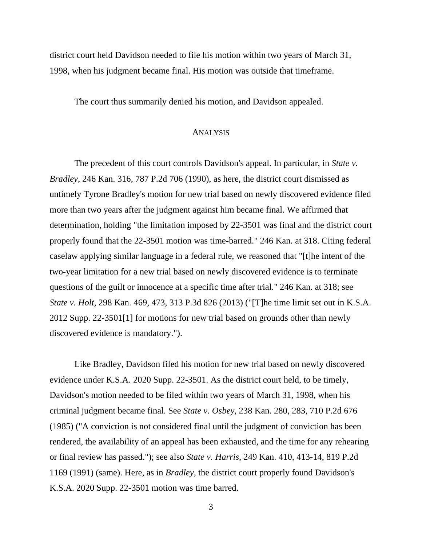district court held Davidson needed to file his motion within two years of March 31, 1998, when his judgment became final. His motion was outside that timeframe.

The court thus summarily denied his motion, and Davidson appealed.

#### ANALYSIS

The precedent of this court controls Davidson's appeal. In particular, in *State v. Bradley*, 246 Kan. 316, 787 P.2d 706 (1990), as here, the district court dismissed as untimely Tyrone Bradley's motion for new trial based on newly discovered evidence filed more than two years after the judgment against him became final. We affirmed that determination, holding "the limitation imposed by 22-3501 was final and the district court properly found that the 22-3501 motion was time-barred." 246 Kan. at 318. Citing federal caselaw applying similar language in a federal rule, we reasoned that "[t]he intent of the two-year limitation for a new trial based on newly discovered evidence is to terminate questions of the guilt or innocence at a specific time after trial." 246 Kan. at 318; see *State v. Holt*, 298 Kan. 469, 473, 313 P.3d 826 (2013) ("[T]he time limit set out in K.S.A. 2012 Supp. 22-3501[1] for motions for new trial based on grounds other than newly discovered evidence is mandatory.").

Like Bradley, Davidson filed his motion for new trial based on newly discovered evidence under K.S.A. 2020 Supp. 22-3501. As the district court held, to be timely, Davidson's motion needed to be filed within two years of March 31, 1998, when his criminal judgment became final. See *State v. Osbey*, 238 Kan. 280, 283, 710 P.2d 676 (1985) ("A conviction is not considered final until the judgment of conviction has been rendered, the availability of an appeal has been exhausted, and the time for any rehearing or final review has passed."); see also *State v. Harris*, 249 Kan. 410, 413-14, 819 P.2d 1169 (1991) (same). Here, as in *Bradley*, the district court properly found Davidson's K.S.A. 2020 Supp. 22-3501 motion was time barred.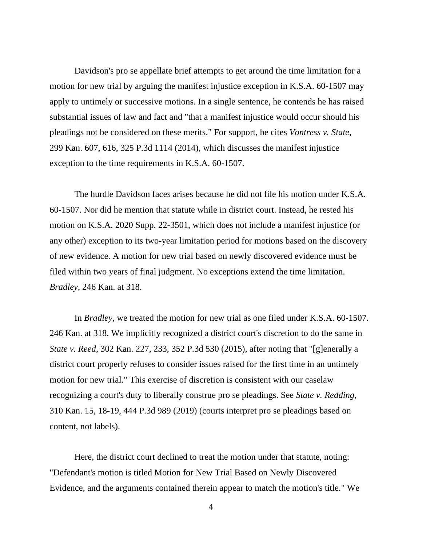Davidson's pro se appellate brief attempts to get around the time limitation for a motion for new trial by arguing the manifest injustice exception in K.S.A. 60-1507 may apply to untimely or successive motions. In a single sentence, he contends he has raised substantial issues of law and fact and "that a manifest injustice would occur should his pleadings not be considered on these merits." For support, he cites *Vontress v. State*, 299 Kan. 607, 616, 325 P.3d 1114 (2014), which discusses the manifest injustice exception to the time requirements in K.S.A. 60-1507.

The hurdle Davidson faces arises because he did not file his motion under K.S.A. 60-1507. Nor did he mention that statute while in district court. Instead, he rested his motion on K.S.A. 2020 Supp. 22-3501, which does not include a manifest injustice (or any other) exception to its two-year limitation period for motions based on the discovery of new evidence. A motion for new trial based on newly discovered evidence must be filed within two years of final judgment. No exceptions extend the time limitation. *Bradley*, 246 Kan. at 318.

In *Bradley*, we treated the motion for new trial as one filed under K.S.A. 60-1507. 246 Kan. at 318. We implicitly recognized a district court's discretion to do the same in *State v. Reed*, 302 Kan. 227, 233, 352 P.3d 530 (2015), after noting that "[g]enerally a district court properly refuses to consider issues raised for the first time in an untimely motion for new trial." This exercise of discretion is consistent with our caselaw recognizing a court's duty to liberally construe pro se pleadings. See *State v. Redding*, 310 Kan. 15, 18-19, 444 P.3d 989 (2019) (courts interpret pro se pleadings based on content, not labels).

Here, the district court declined to treat the motion under that statute, noting: "Defendant's motion is titled Motion for New Trial Based on Newly Discovered Evidence, and the arguments contained therein appear to match the motion's title." We